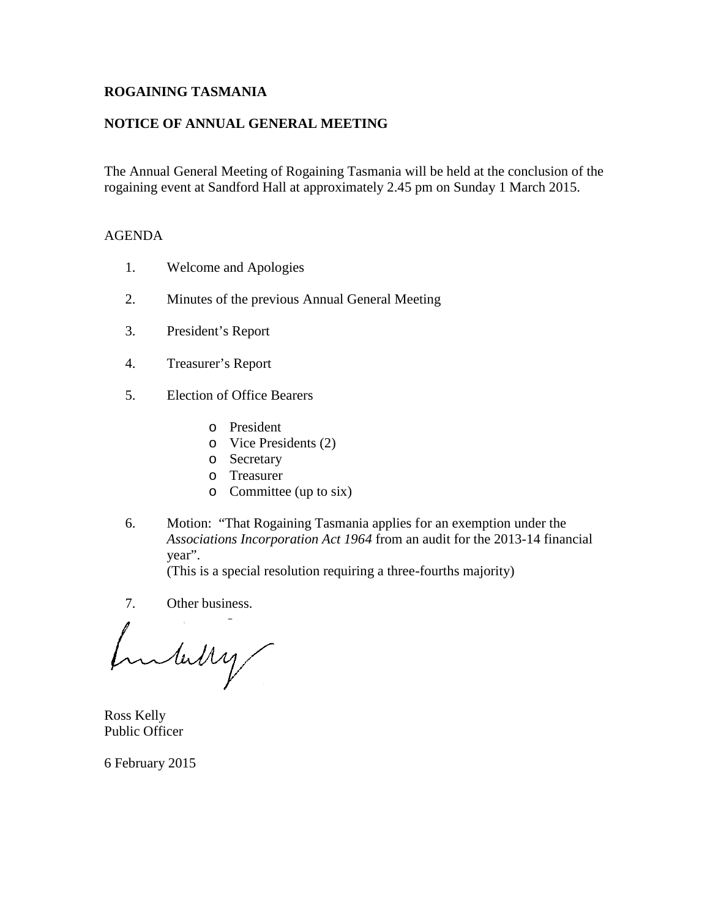# ROGAI NING TASMANIA

# NOTICE OF ANNUAL GENERAL MEETING

The Annual General Meeting of Rogaining Tasmania will be held at the conclusion of the rogaining event at Sadford Hall at approximately 254pm on Sunday 1 March 2015.

### AGENDA

- 1. Welcome and Apoloies
- 2. Minutes of the previous Annual General Meeting
- 3. President€s Report
- 4. Treasurer€s Report
- 5. Election of Office Bearers
	- o President
	- o Vice Presidents (2)
	- o Secretary
	- o Treasurer
	- o Committee (up to six)
- 6. Motion: •That Rogaining Tasmania applies fan exemption under the Associations Incorporation Act 196rom an audit for the 20134 financial year,.

(This is a special resolution requiring a three rths majority)

7. Other business.

Ross Kelly Public Officer

6 February 2015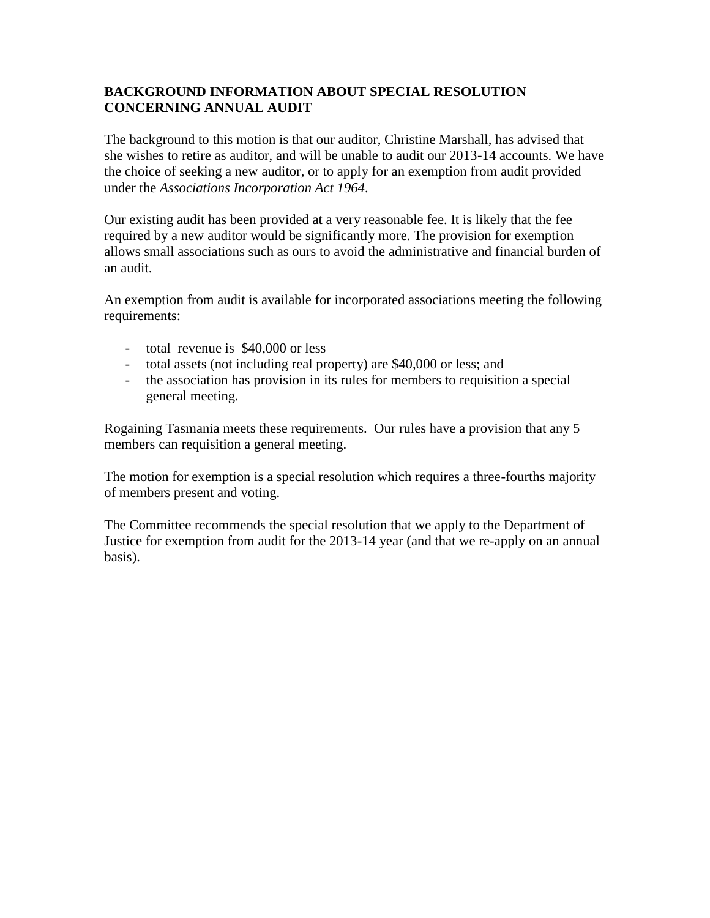### **BACKGROUND INFORMATION ABOUT SPECIAL RESOLUTION CONCERNING ANNUAL AUDIT**

The background to this motion is that our auditor, Christine Marshall, has advised that she wishes to retire as auditor, and will be unable to audit our 2013-14 accounts. We have the choice of seeking a new auditor, or to apply for an exemption from audit provided under the *Associations Incorporation Act 1964.*

Our existing audit has been provided at a very reasonable fee. It is likely that the fee required by a new auditor would be significantly more. The provision for exemption allows small associations such as ours to avoid the administrative and financial burden of an audit.

An exemption from audit is available for incorporated associations meeting the following requirements:

- total revenue is \$40,000 or less
- total assets (not including real property) are \$40,000 or less; and
- the association has provision in its rules for members to requisition a special general meeting.

Rogaining Tasmania meets these requirements. Our rules have a provision that any 5 members can requisition a general meeting.

The motion for exemption is a special resolution which requires a three-fourths majority of members present and voting.

The Committee recommends the special resolution that we apply to the Department of Justice for exemption from audit for the 2013-14 year (and that we re-apply on an annual basis).